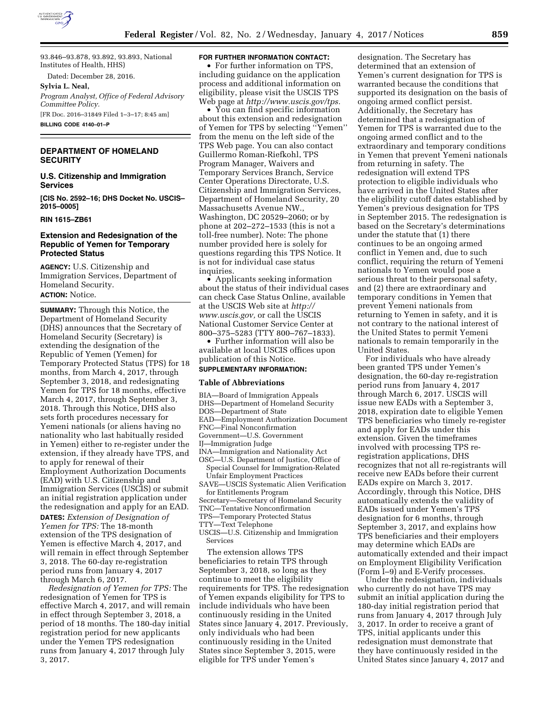

93.846–93.878, 93.892, 93.893, National Institutes of Health, HHS)

Dated: December 28, 2016.

#### **Sylvia L. Neal,**

*Program Analyst, Office of Federal Advisory Committee Policy.*  [FR Doc. 2016–31849 Filed 1–3–17; 8:45 am] **BILLING CODE 4140–01–P** 

## **DEPARTMENT OF HOMELAND SECURITY**

**U.S. Citizenship and Immigration Services** 

**[CIS No. 2592–16; DHS Docket No. USCIS– 2015–0005]** 

#### **RIN 1615–ZB61**

## **Extension and Redesignation of the Republic of Yemen for Temporary Protected Status**

**AGENCY:** U.S. Citizenship and Immigration Services, Department of Homeland Security. **ACTION:** Notice.

**SUMMARY:** Through this Notice, the Department of Homeland Security (DHS) announces that the Secretary of Homeland Security (Secretary) is extending the designation of the Republic of Yemen (Yemen) for Temporary Protected Status (TPS) for 18 months, from March 4, 2017, through September 3, 2018, and redesignating Yemen for TPS for 18 months, effective March 4, 2017, through September 3, 2018. Through this Notice, DHS also sets forth procedures necessary for Yemeni nationals (or aliens having no nationality who last habitually resided in Yemen) either to re-register under the extension, if they already have TPS, and to apply for renewal of their Employment Authorization Documents (EAD) with U.S. Citizenship and Immigration Services (USCIS) or submit an initial registration application under the redesignation and apply for an EAD. **DATES:** *Extension of Designation of Yemen for TPS:* The 18-month extension of the TPS designation of Yemen is effective March 4, 2017, and will remain in effect through September 3, 2018. The 60-day re-registration period runs from January 4, 2017 through March 6, 2017.

*Redesignation of Yemen for TPS:* The redesignation of Yemen for TPS is effective March 4, 2017, and will remain in effect through September 3, 2018, a period of 18 months. The 180-day initial registration period for new applicants under the Yemen TPS redesignation runs from January 4, 2017 through July 3, 2017.

#### **FOR FURTHER INFORMATION CONTACT:**

• For further information on TPS, including guidance on the application process and additional information on eligibility, please visit the USCIS TPS Web page at *[http://www.uscis.gov/tps.](http://www.uscis.gov/tps)* 

• You can find specific information about this extension and redesignation of Yemen for TPS by selecting ''Yemen'' from the menu on the left side of the TPS Web page. You can also contact Guillermo Roman-Riefkohl, TPS Program Manager, Waivers and Temporary Services Branch, Service Center Operations Directorate, U.S. Citizenship and Immigration Services, Department of Homeland Security, 20 Massachusetts Avenue NW., Washington, DC 20529–2060; or by phone at 202–272–1533 (this is not a toll-free number). Note: The phone number provided here is solely for questions regarding this TPS Notice. It is not for individual case status inquiries.

• Applicants seeking information about the status of their individual cases can check Case Status Online, available at the USCIS Web site at *[http://](http://www.uscis.gov) [www.uscis.gov,](http://www.uscis.gov)* or call the USCIS National Customer Service Center at 800–375–5283 (TTY 800–767–1833).

• Further information will also be available at local USCIS offices upon publication of this Notice.

# **SUPPLEMENTARY INFORMATION:**

#### **Table of Abbreviations**

- BIA—Board of Immigration Appeals
- DHS—Department of Homeland Security

DOS—Department of State

- EAD—Employment Authorization Document
- FNC—Final Nonconfirmation
- Government—U.S. Government
- IJ—Immigration Judge
- INA—Immigration and Nationality Act
- OSC—U.S. Department of Justice, Office of Special Counsel for Immigration-Related Unfair Employment Practices
- SAVE—USCIS Systematic Alien Verification for Entitlements Program
- Secretary—Secretary of Homeland Security
- TNC—Tentative Nonconfirmation
- TPS—Temporary Protected Status
- TTY—Text Telephone
- USCIS—U.S. Citizenship and Immigration Services

The extension allows TPS beneficiaries to retain TPS through September 3, 2018, so long as they continue to meet the eligibility requirements for TPS. The redesignation of Yemen expands eligibility for TPS to include individuals who have been continuously residing in the United States since January 4, 2017. Previously, only individuals who had been continuously residing in the United States since September 3, 2015, were eligible for TPS under Yemen's

designation. The Secretary has determined that an extension of Yemen's current designation for TPS is warranted because the conditions that supported its designation on the basis of ongoing armed conflict persist. Additionally, the Secretary has determined that a redesignation of Yemen for TPS is warranted due to the ongoing armed conflict and to the extraordinary and temporary conditions in Yemen that prevent Yemeni nationals from returning in safety. The redesignation will extend TPS protection to eligible individuals who have arrived in the United States after the eligibility cutoff dates established by Yemen's previous designation for TPS in September 2015. The redesignation is based on the Secretary's determinations under the statute that (1) there continues to be an ongoing armed conflict in Yemen and, due to such conflict, requiring the return of Yemeni nationals to Yemen would pose a serious threat to their personal safety, and (2) there are extraordinary and temporary conditions in Yemen that prevent Yemeni nationals from returning to Yemen in safety, and it is not contrary to the national interest of the United States to permit Yemeni nationals to remain temporarily in the United States.

For individuals who have already been granted TPS under Yemen's designation, the 60-day re-registration period runs from January 4, 2017 through March 6, 2017. USCIS will issue new EADs with a September 3, 2018, expiration date to eligible Yemen TPS beneficiaries who timely re-register and apply for EADs under this extension. Given the timeframes involved with processing TPS reregistration applications, DHS recognizes that not all re-registrants will receive new EADs before their current EADs expire on March 3, 2017. Accordingly, through this Notice, DHS automatically extends the validity of EADs issued under Yemen's TPS designation for 6 months, through September 3, 2017, and explains how TPS beneficiaries and their employers may determine which EADs are automatically extended and their impact on Employment Eligibility Verification (Form I–9) and E-Verify processes.

Under the redesignation, individuals who currently do not have TPS may submit an initial application during the 180-day initial registration period that runs from January 4, 2017 through July 3, 2017. In order to receive a grant of TPS, initial applicants under this redesignation must demonstrate that they have continuously resided in the United States since January 4, 2017 and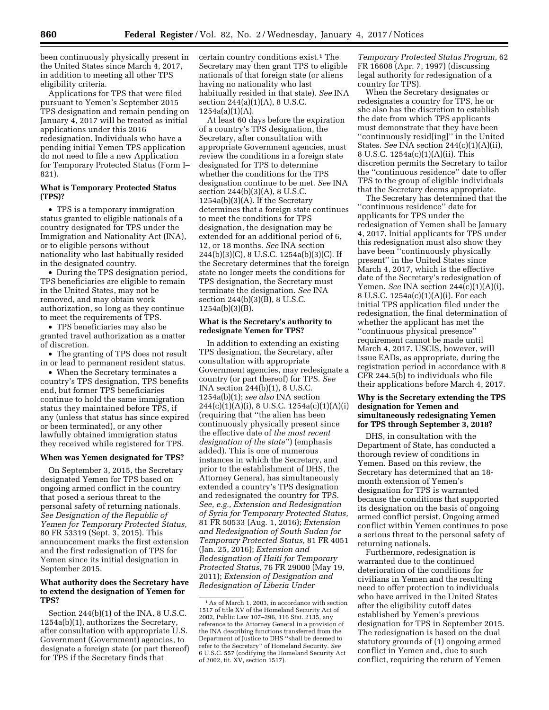been continuously physically present in the United States since March 4, 2017, in addition to meeting all other TPS eligibility criteria.

Applications for TPS that were filed pursuant to Yemen's September 2015 TPS designation and remain pending on January 4, 2017 will be treated as initial applications under this 2016 redesignation. Individuals who have a pending initial Yemen TPS application do not need to file a new Application for Temporary Protected Status (Form I– 821).

## **What is Temporary Protected Status (TPS)?**

• TPS is a temporary immigration status granted to eligible nationals of a country designated for TPS under the Immigration and Nationality Act (INA), or to eligible persons without nationality who last habitually resided in the designated country.

• During the TPS designation period, TPS beneficiaries are eligible to remain in the United States, may not be removed, and may obtain work authorization, so long as they continue to meet the requirements of TPS.

• TPS beneficiaries may also be granted travel authorization as a matter of discretion.

• The granting of TPS does not result in or lead to permanent resident status.

• When the Secretary terminates a country's TPS designation, TPS benefits end, but former TPS beneficiaries continue to hold the same immigration status they maintained before TPS, if any (unless that status has since expired or been terminated), or any other lawfully obtained immigration status they received while registered for TPS.

#### **When was Yemen designated for TPS?**

On September 3, 2015, the Secretary designated Yemen for TPS based on ongoing armed conflict in the country that posed a serious threat to the personal safety of returning nationals. *See Designation of the Republic of Yemen for Temporary Protected Status,*  80 FR 53319 (Sept. 3, 2015). This announcement marks the first extension and the first redesignation of TPS for Yemen since its initial designation in September 2015.

## **What authority does the Secretary have to extend the designation of Yemen for TPS?**

Section 244(b)(1) of the INA, 8 U.S.C. 1254a(b)(1), authorizes the Secretary, after consultation with appropriate U.S. Government (Government) agencies, to designate a foreign state (or part thereof) for TPS if the Secretary finds that

certain country conditions exist.<sup>1</sup> The Secretary may then grant TPS to eligible nationals of that foreign state (or aliens having no nationality who last habitually resided in that state). *See* INA section 244(a)(1)(A), 8 U.S.C. 1254a(a)(1)(A).

At least 60 days before the expiration of a country's TPS designation, the Secretary, after consultation with appropriate Government agencies, must review the conditions in a foreign state designated for TPS to determine whether the conditions for the TPS designation continue to be met. *See* INA section 244(b)(3)(A), 8 U.S.C. 1254a(b)(3)(A). If the Secretary determines that a foreign state continues to meet the conditions for TPS designation, the designation may be extended for an additional period of 6, 12, or 18 months. *See* INA section 244(b)(3)(C), 8 U.S.C. 1254a(b)(3)(C). If the Secretary determines that the foreign state no longer meets the conditions for TPS designation, the Secretary must terminate the designation. *See* INA section 244(b)(3)(B), 8 U.S.C. 1254a(b)(3)(B).

#### **What is the Secretary's authority to redesignate Yemen for TPS?**

In addition to extending an existing TPS designation, the Secretary, after consultation with appropriate Government agencies, may redesignate a country (or part thereof) for TPS. *See*  INA section 244(b)(1), 8 U.S.C. 1254a(b)(1); *see also* INA section  $244(c)(1)(A)(i)$ , 8 U.S.C. 1254a(c)(1)(A)(i) (requiring that ''the alien has been continuously physically present since the effective date of *the most recent designation of the state*'') (emphasis added). This is one of numerous instances in which the Secretary, and prior to the establishment of DHS, the Attorney General, has simultaneously extended a country's TPS designation and redesignated the country for TPS. *See, e.g., Extension and Redesignation of Syria for Temporary Protected Status,*  81 FR 50533 (Aug. 1, 2016); *Extension and Redesignation of South Sudan for Temporary Protected Status,* 81 FR 4051 (Jan. 25, 2016); *Extension and Redesignation of Haiti for Temporary Protected Status,* 76 FR 29000 (May 19, 2011); *Extension of Designation and Redesignation of Liberia Under* 

*Temporary Protected Status Program,* 62 FR 16608 (Apr. 7, 1997) (discussing legal authority for redesignation of a country for TPS).

When the Secretary designates or redesignates a country for TPS, he or she also has the discretion to establish the date from which TPS applicants must demonstrate that they have been ''continuously resid[ing]'' in the United States. *See* INA section 244(c)(1)(A)(ii), 8 U.S.C. 1254a(c)(1)(A)(ii). This discretion permits the Secretary to tailor the ''continuous residence'' date to offer TPS to the group of eligible individuals that the Secretary deems appropriate.

The Secretary has determined that the ''continuous residence'' date for applicants for TPS under the redesignation of Yemen shall be January 4, 2017. Initial applicants for TPS under this redesignation must also show they have been ''continuously physically present'' in the United States since March 4, 2017, which is the effective date of the Secretary's redesignation of Yemen. *See* INA section 244(c)(1)(A)(i), 8 U.S.C. 1254a(c)(1)(A)(i). For each initial TPS application filed under the redesignation, the final determination of whether the applicant has met the ''continuous physical presence'' requirement cannot be made until March 4, 2017. USCIS, however, will issue EADs, as appropriate, during the registration period in accordance with 8 CFR 244.5(b) to individuals who file their applications before March 4, 2017.

#### **Why is the Secretary extending the TPS designation for Yemen and simultaneously redesignating Yemen for TPS through September 3, 2018?**

DHS, in consultation with the Department of State, has conducted a thorough review of conditions in Yemen. Based on this review, the Secretary has determined that an 18 month extension of Yemen's designation for TPS is warranted because the conditions that supported its designation on the basis of ongoing armed conflict persist. Ongoing armed conflict within Yemen continues to pose a serious threat to the personal safety of returning nationals.

Furthermore, redesignation is warranted due to the continued deterioration of the conditions for civilians in Yemen and the resulting need to offer protection to individuals who have arrived in the United States after the eligibility cutoff dates established by Yemen's previous designation for TPS in September 2015. The redesignation is based on the dual statutory grounds of (1) ongoing armed conflict in Yemen and, due to such conflict, requiring the return of Yemen

<sup>1</sup>As of March 1, 2003, in accordance with section 1517 of title XV of the Homeland Security Act of 2002, Public Law 107–296, 116 Stat. 2135, any reference to the Attorney General in a provision of the INA describing functions transferred from the Department of Justice to DHS ''shall be deemed to refer to the Secretary'' of Homeland Security. *See*  6 U.S.C. 557 (codifying the Homeland Security Act of 2002, tit. XV, section 1517).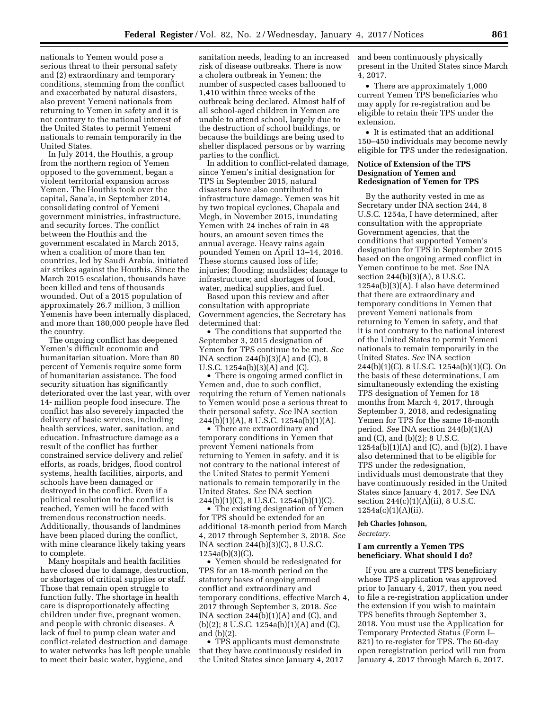nationals to Yemen would pose a serious threat to their personal safety and (2) extraordinary and temporary conditions, stemming from the conflict and exacerbated by natural disasters, also prevent Yemeni nationals from returning to Yemen in safety and it is not contrary to the national interest of the United States to permit Yemeni nationals to remain temporarily in the United States.

In July 2014, the Houthis, a group from the northern region of Yemen opposed to the government, began a violent territorial expansion across Yemen. The Houthis took over the capital, Sana'a, in September 2014, consolidating control of Yemeni government ministries, infrastructure, and security forces. The conflict between the Houthis and the government escalated in March 2015, when a coalition of more than ten countries, led by Saudi Arabia, initiated air strikes against the Houthis. Since the March 2015 escalation, thousands have been killed and tens of thousands wounded. Out of a 2015 population of approximately 26.7 million, 3 million Yemenis have been internally displaced, and more than 180,000 people have fled the country.

The ongoing conflict has deepened Yemen's difficult economic and humanitarian situation. More than 80 percent of Yemenis require some form of humanitarian assistance. The food security situation has significantly deteriorated over the last year, with over 14- million people food insecure. The conflict has also severely impacted the delivery of basic services, including health services, water, sanitation, and education. Infrastructure damage as a result of the conflict has further constrained service delivery and relief efforts, as roads, bridges, flood control systems, health facilities, airports, and schools have been damaged or destroyed in the conflict. Even if a political resolution to the conflict is reached, Yemen will be faced with tremendous reconstruction needs. Additionally, thousands of landmines have been placed during the conflict, with mine clearance likely taking years to complete.

Many hospitals and health facilities have closed due to damage, destruction, or shortages of critical supplies or staff. Those that remain open struggle to function fully. The shortage in health care is disproportionately affecting children under five, pregnant women, and people with chronic diseases. A lack of fuel to pump clean water and conflict-related destruction and damage to water networks has left people unable to meet their basic water, hygiene, and

sanitation needs, leading to an increased risk of disease outbreaks. There is now a cholera outbreak in Yemen; the number of suspected cases ballooned to 1,410 within three weeks of the outbreak being declared. Almost half of all school-aged children in Yemen are unable to attend school, largely due to the destruction of school buildings, or because the buildings are being used to shelter displaced persons or by warring parties to the conflict.

In addition to conflict-related damage, since Yemen's initial designation for TPS in September 2015, natural disasters have also contributed to infrastructure damage. Yemen was hit by two tropical cyclones, Chapala and Megh, in November 2015, inundating Yemen with 24 inches of rain in 48 hours, an amount seven times the annual average. Heavy rains again pounded Yemen on April 13–14, 2016. These storms caused loss of life; injuries; flooding; mudslides; damage to infrastructure; and shortages of food, water, medical supplies, and fuel.

Based upon this review and after consultation with appropriate Government agencies, the Secretary has determined that:

• The conditions that supported the September 3, 2015 designation of Yemen for TPS continue to be met. *See*  INA section  $244(b)(3)(A)$  and  $(C)$ , 8 U.S.C. 1254a(b)(3)(A) and (C).

• There is ongoing armed conflict in Yemen and, due to such conflict, requiring the return of Yemen nationals to Yemen would pose a serious threat to their personal safety. *See* INA section 244(b)(1)(A), 8 U.S.C. 1254a(b)(1)(A).

• There are extraordinary and temporary conditions in Yemen that prevent Yemeni nationals from returning to Yemen in safety, and it is not contrary to the national interest of the United States to permit Yemeni nationals to remain temporarily in the United States. *See* INA section 244(b)(1)(C), 8 U.S.C. 1254a(b)(1)(C).

• The existing designation of Yemen for TPS should be extended for an additional 18-month period from March 4, 2017 through September 3, 2018. *See*  INA section 244(b)(3)(C), 8 U.S.C. 1254a(b)(3)(C).

• Yemen should be redesignated for TPS for an 18-month period on the statutory bases of ongoing armed conflict and extraordinary and temporary conditions, effective March 4, 2017 through September 3, 2018. *See*  INA section  $244(b)(1)(A)$  and  $(C)$ , and (b)(2); 8 U.S.C. 1254a(b)(1)(A) and (C), and (b)(2).

• TPS applicants must demonstrate that they have continuously resided in the United States since January 4, 2017 and been continuously physically present in the United States since March 4, 2017.

• There are approximately 1,000 current Yemen TPS beneficiaries who may apply for re-registration and be eligible to retain their TPS under the extension.

• It is estimated that an additional 150–450 individuals may become newly eligible for TPS under the redesignation.

## **Notice of Extension of the TPS Designation of Yemen and Redesignation of Yemen for TPS**

By the authority vested in me as Secretary under INA section 244, 8 U.S.C. 1254a, I have determined, after consultation with the appropriate Government agencies, that the conditions that supported Yemen's designation for TPS in September 2015 based on the ongoing armed conflict in Yemen continue to be met. *See* INA section 244(b)(3)(A), 8 U.S.C. 1254a(b)(3)(A). I also have determined that there are extraordinary and temporary conditions in Yemen that prevent Yemeni nationals from returning to Yemen in safety, and that it is not contrary to the national interest of the United States to permit Yemeni nationals to remain temporarily in the United States. *See* INA section 244(b)(1)(C), 8 U.S.C. 1254a(b)(1)(C). On the basis of these determinations, I am simultaneously extending the existing TPS designation of Yemen for 18 months from March 4, 2017, through September 3, 2018, and redesignating Yemen for TPS for the same 18-month period. *See* INA section 244(b)(1)(A) and (C), and (b)(2); 8 U.S.C.  $1254a(b)(1)(A)$  and  $(C)$ , and  $(b)(2)$ . I have also determined that to be eligible for TPS under the redesignation, individuals must demonstrate that they have continuously resided in the United States since January 4, 2017. *See* INA section 244(c)(1)(A)(ii), 8 U.S.C. 1254a(c)(1)(A)(ii).

## **Jeh Charles Johnson,**

*Secretary.* 

#### **I am currently a Yemen TPS beneficiary. What should I do?**

If you are a current TPS beneficiary whose TPS application was approved prior to January 4, 2017, then you need to file a re-registration application under the extension if you wish to maintain TPS benefits through September 3, 2018. You must use the Application for Temporary Protected Status (Form I– 821) to re-register for TPS. The 60-day open reregistration period will run from January 4, 2017 through March 6, 2017.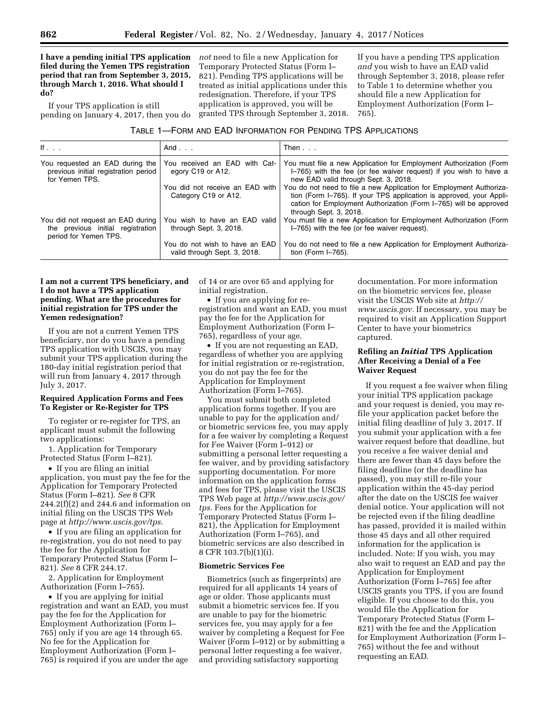**I have a pending initial TPS application filed during the Yemen TPS registration period that ran from September 3, 2015, through March 1, 2016. What should I do?** 

If your TPS application is still pending on January 4, 2017, then you do

*not* need to file a new Application for Temporary Protected Status (Form I– 821). Pending TPS applications will be treated as initial applications under this redesignation. Therefore, if your TPS application is approved, you will be granted TPS through September 3, 2018. If you have a pending TPS application *and* you wish to have an EAD valid through September 3, 2018, please refer to Table 1 to determine whether you should file a new Application for Employment Authorization (Form I– 765).

| If $\ldots$                                                                                     | And $\ldots$                                                   | Then $\ldots$                                                                                                                                                                                                                             |
|-------------------------------------------------------------------------------------------------|----------------------------------------------------------------|-------------------------------------------------------------------------------------------------------------------------------------------------------------------------------------------------------------------------------------------|
| You requested an EAD during the<br>previous initial registration period<br>for Yemen TPS.       | You received an EAD with Cat-<br>egory C19 or A12.             | You must file a new Application for Employment Authorization (Form<br>I-765) with the fee (or fee waiver request) if you wish to have a<br>new EAD valid through Sept. 3, 2018.                                                           |
|                                                                                                 | You did not receive an EAD with<br>Category C19 or A12.        | You do not need to file a new Application for Employment Authoriza-<br>tion (Form I-765). If your TPS application is approved, your Appli-<br>cation for Employment Authorization (Form I-765) will be approved<br>through Sept. 3, 2018. |
| You did not request an EAD during<br>the previous initial registration<br>period for Yemen TPS. | You wish to have an EAD valid<br>through Sept. 3, 2018.        | You must file a new Application for Employment Authorization (Form<br>I-765) with the fee (or fee waiver request).                                                                                                                        |
|                                                                                                 | You do not wish to have an EAD<br>valid through Sept. 3, 2018. | You do not need to file a new Application for Employment Authoriza-<br>tion (Form $I$ -765).                                                                                                                                              |

## **I am not a current TPS beneficiary, and I do not have a TPS application pending. What are the procedures for initial registration for TPS under the Yemen redesignation?**

If you are not a current Yemen TPS beneficiary, nor do you have a pending TPS application with USCIS, you may submit your TPS application during the 180-day initial registration period that will run from January 4, 2017 through July 3, 2017.

## **Required Application Forms and Fees To Register or Re-Register for TPS**

To register or re-register for TPS, an applicant must submit the following two applications:

1. Application for Temporary Protected Status (Form I–821).

• If you are filing an initial application, you must pay the fee for the Application for Temporary Protected Status (Form I–821). *See* 8 CFR  $244.2(f)(2)$  and  $244.6$  and information on initial filing on the USCIS TPS Web page at *[http://www.uscis.gov/tps.](http://www.uscis.gov/tps)* 

• If you are filing an application for re-registration, you do not need to pay the fee for the Application for Temporary Protected Status (Form I– 821). *See* 8 CFR 244.17.

2. Application for Employment Authorization (Form I–765).

• If you are applying for initial registration and want an EAD, you must pay the fee for the Application for Employment Authorization (Form I– 765) only if you are age 14 through 65. No fee for the Application for Employment Authorization (Form I– 765) is required if you are under the age

of 14 or are over 65 and applying for initial registration.

• If you are applying for reregistration and want an EAD, you must pay the fee for the Application for Employment Authorization (Form I– 765), regardless of your age.

• If you are not requesting an EAD, regardless of whether you are applying for initial registration or re-registration, you do not pay the fee for the Application for Employment Authorization (Form I–765).

You must submit both completed application forms together. If you are unable to pay for the application and/ or biometric services fee, you may apply for a fee waiver by completing a Request for Fee Waiver (Form I–912) or submitting a personal letter requesting a fee waiver, and by providing satisfactory supporting documentation. For more information on the application forms and fees for TPS, please visit the USCIS TPS Web page at *[http://www.uscis.gov/](http://www.uscis.gov/tps) [tps.](http://www.uscis.gov/tps)* Fees for the Application for Temporary Protected Status (Form I– 821), the Application for Employment Authorization (Form I–765), and biometric services are also described in 8 CFR 103.7(b)(1)(i).

#### **Biometric Services Fee**

Biometrics (such as fingerprints) are required for all applicants 14 years of age or older. Those applicants must submit a biometric services fee. If you are unable to pay for the biometric services fee, you may apply for a fee waiver by completing a Request for Fee Waiver (Form I–912) or by submitting a personal letter requesting a fee waiver, and providing satisfactory supporting

documentation. For more information on the biometric services fee, please visit the USCIS Web site at *[http://](http://www.uscis.gov) [www.uscis.gov.](http://www.uscis.gov)* If necessary, you may be required to visit an Application Support Center to have your biometrics captured.

# **Refiling an** *Initial* **TPS Application After Receiving a Denial of a Fee Waiver Request**

If you request a fee waiver when filing your initial TPS application package and your request is denied, you may refile your application packet before the initial filing deadline of July 3, 2017. If you submit your application with a fee waiver request before that deadline, but you receive a fee waiver denial and there are fewer than 45 days before the filing deadline (or the deadline has passed), you may still re-file your application within the 45-day period after the date on the USCIS fee waiver denial notice. Your application will not be rejected even if the filing deadline has passed, provided it is mailed within those 45 days and all other required information for the application is included. Note: If you wish, you may also wait to request an EAD and pay the Application for Employment Authorization (Form I–765) fee after USCIS grants you TPS, if you are found eligible. If you choose to do this, you would file the Application for Temporary Protected Status (Form I– 821) with the fee and the Application for Employment Authorization (Form I– 765) without the fee and without requesting an EAD.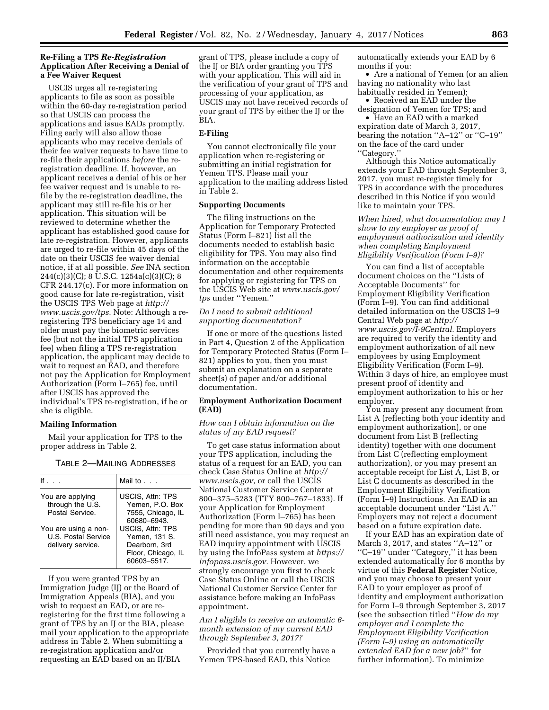#### **Re-Filing a TPS** *Re-Registration*  **Application After Receiving a Denial of a Fee Waiver Request**

USCIS urges all re-registering applicants to file as soon as possible within the 60-day re-registration period so that USCIS can process the applications and issue EADs promptly. Filing early will also allow those applicants who may receive denials of their fee waiver requests to have time to re-file their applications *before* the reregistration deadline. If, however, an applicant receives a denial of his or her fee waiver request and is unable to refile by the re-registration deadline, the applicant may still re-file his or her application. This situation will be reviewed to determine whether the applicant has established good cause for late re-registration. However, applicants are urged to re-file within 45 days of the date on their USCIS fee waiver denial notice, if at all possible. *See* INA section 244(c)(3)(C); 8 U.S.C. 1254a(c)(3)(C); 8 CFR 244.17(c). For more information on good cause for late re-registration, visit the USCIS TPS Web page at *[http://](http://www.uscis.gov/tps) [www.uscis.gov/tps.](http://www.uscis.gov/tps)* Note: Although a reregistering TPS beneficiary age 14 and older must pay the biometric services fee (but not the initial TPS application fee) when filing a TPS re-registration application, the applicant may decide to wait to request an EAD, and therefore not pay the Application for Employment Authorization (Form I–765) fee, until after USCIS has approved the individual's TPS re-registration, if he or she is eligible.

#### **Mailing Information**

Mail your application for TPS to the proper address in Table 2.

| If $\sim$                                                        | Mail to $\ldots$                                                                               |
|------------------------------------------------------------------|------------------------------------------------------------------------------------------------|
| You are applying<br>through the U.S.<br>Postal Service.          | <b>USCIS, Attn: TPS</b><br>Yemen, P.O. Box<br>7555, Chicago, IL<br>60680-6943.                 |
| You are using a non-<br>U.S. Postal Service<br>delivery service. | <b>USCIS. Attn: TPS</b><br>Yemen. 131 S.<br>Dearborn, 3rd<br>Floor, Chicago, IL<br>60603-5517. |

TABLE 2—MAILING ADDRESSES

If you were granted TPS by an Immigration Judge (IJ) or the Board of Immigration Appeals (BIA), and you wish to request an EAD, or are reregistering for the first time following a grant of TPS by an IJ or the BIA, please mail your application to the appropriate address in Table 2. When submitting a re-registration application and/or requesting an EAD based on an IJ/BIA

grant of TPS, please include a copy of the IJ or BIA order granting you TPS with your application. This will aid in the verification of your grant of TPS and processing of your application, as USCIS may not have received records of your grant of TPS by either the IJ or the BIA.

#### **E-Filing**

You cannot electronically file your application when re-registering or submitting an initial registration for Yemen TPS. Please mail your application to the mailing address listed in Table 2.

## **Supporting Documents**

The filing instructions on the Application for Temporary Protected Status (Form I–821) list all the documents needed to establish basic eligibility for TPS. You may also find information on the acceptable documentation and other requirements for applying or registering for TPS on the USCIS Web site at *[www.uscis.gov/](http://www.uscis.gov/tps)  [tps](http://www.uscis.gov/tps)* under ''Yemen.''

### *Do I need to submit additional supporting documentation?*

If one or more of the questions listed in Part 4, Question 2 of the Application for Temporary Protected Status (Form I– 821) applies to you, then you must submit an explanation on a separate sheet(s) of paper and/or additional documentation.

#### **Employment Authorization Document (EAD)**

#### *How can I obtain information on the status of my EAD request?*

To get case status information about your TPS application, including the status of a request for an EAD, you can check Case Status Online at *[http://](http://www.uscis.gov) [www.uscis.gov,](http://www.uscis.gov)* or call the USCIS National Customer Service Center at 800–375–5283 (TTY 800–767–1833). If your Application for Employment Authorization (Form I–765) has been pending for more than 90 days and you still need assistance, you may request an EAD inquiry appointment with USCIS by using the InfoPass system at *[https://](https://infopass.uscis.gov) [infopass.uscis.gov.](https://infopass.uscis.gov)* However, we strongly encourage you first to check Case Status Online or call the USCIS National Customer Service Center for assistance before making an InfoPass appointment.

### *Am I eligible to receive an automatic 6 month extension of my current EAD through September 3, 2017?*

Provided that you currently have a Yemen TPS-based EAD, this Notice

automatically extends your EAD by 6 months if you:

• Are a national of Yemen (or an alien having no nationality who last habitually resided in Yemen);

• Received an EAD under the designation of Yemen for TPS; and

• Have an EAD with a marked expiration date of March 3, 2017, bearing the notation ''A–12'' or ''C–19'' on the face of the card under ''Category.''

Although this Notice automatically extends your EAD through September 3, 2017, you must re-register timely for TPS in accordance with the procedures described in this Notice if you would like to maintain your TPS.

*When hired, what documentation may I show to my employer as proof of employment authorization and identity when completing Employment Eligibility Verification (Form I–9)?* 

You can find a list of acceptable document choices on the ''Lists of Acceptable Documents'' for Employment Eligibility Verification (Form I–9). You can find additional detailed information on the USCIS I–9 Central Web page at *[http://](http://www.uscis.gov/I-9Central) [www.uscis.gov/I-9Central.](http://www.uscis.gov/I-9Central)* Employers are required to verify the identity and employment authorization of all new employees by using Employment Eligibility Verification (Form I–9). Within 3 days of hire, an employee must present proof of identity and employment authorization to his or her employer.

You may present any document from List A (reflecting both your identity and employment authorization), or one document from List B (reflecting identity) together with one document from List C (reflecting employment authorization), or you may present an acceptable receipt for List A, List B, or List C documents as described in the Employment Eligibility Verification (Form I–9) Instructions. An EAD is an acceptable document under ''List A.'' Employers may not reject a document based on a future expiration date.

If your EAD has an expiration date of March 3, 2017, and states ''A–12'' or ''C–19'' under ''Category,'' it has been extended automatically for 6 months by virtue of this **Federal Register** Notice, and you may choose to present your EAD to your employer as proof of identity and employment authorization for Form I–9 through September 3, 2017 (see the subsection titled ''*How do my employer and I complete the Employment Eligibility Verification (Form I–9) using an automatically extended EAD for a new job?*'' for further information). To minimize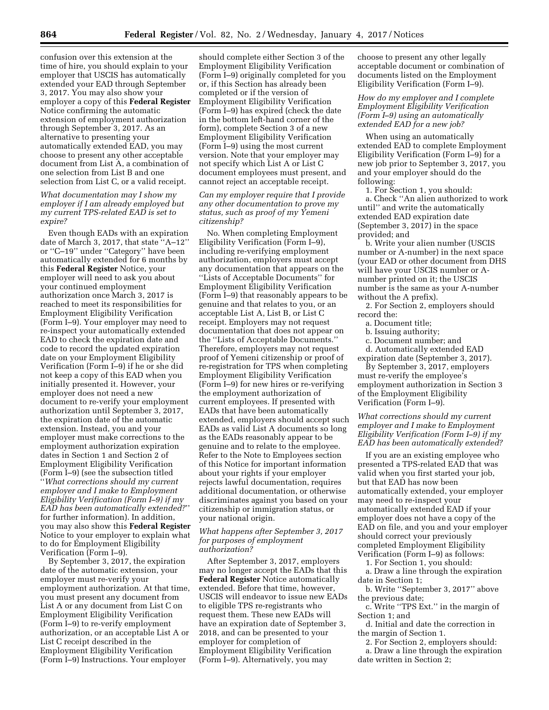confusion over this extension at the time of hire, you should explain to your employer that USCIS has automatically extended your EAD through September 3, 2017. You may also show your employer a copy of this **Federal Register**  Notice confirming the automatic extension of employment authorization through September 3, 2017. As an alternative to presenting your automatically extended EAD, you may choose to present any other acceptable document from List A, a combination of one selection from List B and one selection from List C, or a valid receipt.

*What documentation may I show my employer if I am already employed but my current TPS-related EAD is set to expire?* 

Even though EADs with an expiration date of March 3, 2017, that state ''A–12'' or ''C–19'' under ''Category'' have been automatically extended for 6 months by this **Federal Register** Notice, your employer will need to ask you about your continued employment authorization once March 3, 2017 is reached to meet its responsibilities for Employment Eligibility Verification (Form I–9). Your employer may need to re-inspect your automatically extended EAD to check the expiration date and code to record the updated expiration date on your Employment Eligibility Verification (Form I–9) if he or she did not keep a copy of this EAD when you initially presented it. However, your employer does not need a new document to re-verify your employment authorization until September 3, 2017, the expiration date of the automatic extension. Instead, you and your employer must make corrections to the employment authorization expiration dates in Section 1 and Section 2 of Employment Eligibility Verification (Form I–9) (see the subsection titled ''*What corrections should my current employer and I make to Employment Eligibility Verification (Form I–9) if my EAD has been automatically extended?*'' for further information). In addition, you may also show this **Federal Register**  Notice to your employer to explain what to do for Employment Eligibility Verification (Form I–9).

By September 3, 2017, the expiration date of the automatic extension, your employer must re-verify your employment authorization. At that time, you must present any document from List A or any document from List C on Employment Eligibility Verification (Form I–9) to re-verify employment authorization, or an acceptable List A or List C receipt described in the Employment Eligibility Verification (Form I–9) Instructions. Your employer

should complete either Section 3 of the Employment Eligibility Verification (Form I–9) originally completed for you or, if this Section has already been completed or if the version of Employment Eligibility Verification (Form I–9) has expired (check the date in the bottom left-hand corner of the form), complete Section 3 of a new Employment Eligibility Verification (Form I–9) using the most current version. Note that your employer may not specify which List A or List C document employees must present, and cannot reject an acceptable receipt.

*Can my employer require that I provide any other documentation to prove my status, such as proof of my Yemeni citizenship?* 

No. When completing Employment Eligibility Verification (Form I–9), including re-verifying employment authorization, employers must accept any documentation that appears on the ''Lists of Acceptable Documents'' for Employment Eligibility Verification (Form I–9) that reasonably appears to be genuine and that relates to you, or an acceptable List A, List B, or List C receipt. Employers may not request documentation that does not appear on the ''Lists of Acceptable Documents.'' Therefore, employers may not request proof of Yemeni citizenship or proof of re-registration for TPS when completing Employment Eligibility Verification (Form I–9) for new hires or re-verifying the employment authorization of current employees. If presented with EADs that have been automatically extended, employers should accept such EADs as valid List A documents so long as the EADs reasonably appear to be genuine and to relate to the employee. Refer to the Note to Employees section of this Notice for important information about your rights if your employer rejects lawful documentation, requires additional documentation, or otherwise discriminates against you based on your citizenship or immigration status, or your national origin.

#### *What happens after September 3, 2017 for purposes of employment authorization?*

After September 3, 2017, employers may no longer accept the EADs that this **Federal Register** Notice automatically extended. Before that time, however, USCIS will endeavor to issue new EADs to eligible TPS re-registrants who request them. These new EADs will have an expiration date of September 3, 2018, and can be presented to your employer for completion of Employment Eligibility Verification (Form I–9). Alternatively, you may

choose to present any other legally acceptable document or combination of documents listed on the Employment Eligibility Verification (Form I–9).

*How do my employer and I complete Employment Eligibility Verification (Form I–9) using an automatically extended EAD for a new job?* 

When using an automatically extended EAD to complete Employment Eligibility Verification (Form I–9) for a new job prior to September 3, 2017, you and your employer should do the following:

1. For Section 1, you should: a. Check ''An alien authorized to work until'' and write the automatically extended EAD expiration date (September 3, 2017) in the space provided; and

b. Write your alien number (USCIS number or A-number) in the next space (your EAD or other document from DHS will have your USCIS number or Anumber printed on it; the USCIS number is the same as your A-number without the A prefix).

2. For Section 2, employers should record the:

- a. Document title;
- b. Issuing authority;
- c. Document number; and

d. Automatically extended EAD expiration date (September 3, 2017).

By September 3, 2017, employers must re-verify the employee's employment authorization in Section 3 of the Employment Eligibility Verification (Form I–9).

*What corrections should my current employer and I make to Employment Eligibility Verification (Form I–9) if my EAD has been automatically extended?* 

If you are an existing employee who presented a TPS-related EAD that was valid when you first started your job, but that EAD has now been automatically extended, your employer may need to re-inspect your automatically extended EAD if your employer does not have a copy of the EAD on file, and you and your employer should correct your previously completed Employment Eligibility Verification (Form I–9) as follows:

1. For Section 1, you should:

a. Draw a line through the expiration date in Section 1;

b. Write ''September 3, 2017'' above the previous date;

c. Write ''TPS Ext.'' in the margin of Section 1; and

d. Initial and date the correction in the margin of Section 1.

2. For Section 2, employers should: a. Draw a line through the expiration

date written in Section 2;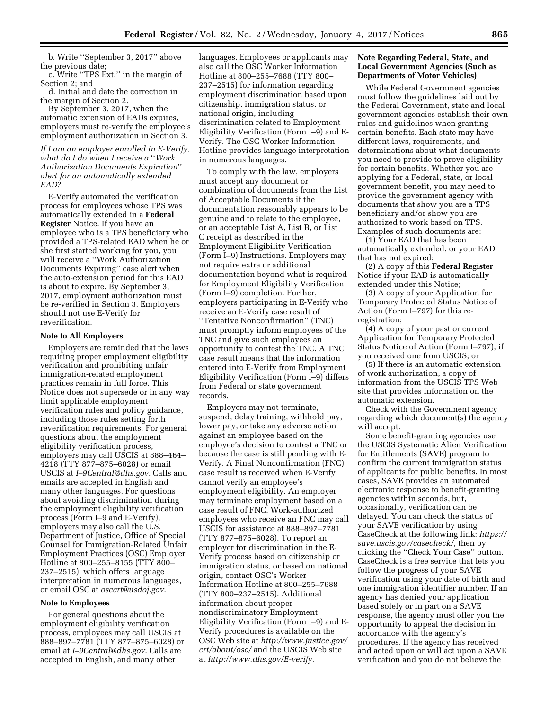b. Write ''September 3, 2017'' above the previous date;

c. Write ''TPS Ext.'' in the margin of Section 2; and

d. Initial and date the correction in the margin of Section 2.

By September 3, 2017, when the automatic extension of EADs expires, employers must re-verify the employee's employment authorization in Section 3.

*If I am an employer enrolled in E-Verify, what do I do when I receive a* ''*Work Authorization Documents Expiration*'' *alert for an automatically extended EAD?* 

E-Verify automated the verification process for employees whose TPS was automatically extended in a **Federal Register** Notice. If you have an employee who is a TPS beneficiary who provided a TPS-related EAD when he or she first started working for you, you will receive a ''Work Authorization Documents Expiring'' case alert when the auto-extension period for this EAD is about to expire. By September 3, 2017, employment authorization must be re-verified in Section 3. Employers should not use E-Verify for reverification.

#### **Note to All Employers**

Employers are reminded that the laws requiring proper employment eligibility verification and prohibiting unfair immigration-related employment practices remain in full force. This Notice does not supersede or in any way limit applicable employment verification rules and policy guidance, including those rules setting forth reverification requirements. For general questions about the employment eligibility verification process, employers may call USCIS at 888–464– 4218 (TTY 877–875–6028) or email USCIS at *[I–9Central@dhs.gov.](mailto:I-9Central@dhs.gov)* Calls and emails are accepted in English and many other languages. For questions about avoiding discrimination during the employment eligibility verification process (Form I–9 and E-Verify), employers may also call the U.S. Department of Justice, Office of Special Counsel for Immigration-Related Unfair Employment Practices (OSC) Employer Hotline at 800–255–8155 (TTY 800– 237–2515), which offers language interpretation in numerous languages, or email OSC at *[osccrt@usdoj.gov.](mailto:osccrt@usdoj.gov)* 

#### **Note to Employees**

For general questions about the employment eligibility verification process, employees may call USCIS at 888–897–7781 (TTY 877–875–6028) or email at *[I–9Central@dhs.gov.](mailto:I-9Central@dhs.gov)* Calls are accepted in English, and many other

languages. Employees or applicants may also call the OSC Worker Information Hotline at 800–255–7688 (TTY 800– 237–2515) for information regarding employment discrimination based upon citizenship, immigration status, or national origin, including discrimination related to Employment Eligibility Verification (Form I–9) and E-Verify. The OSC Worker Information Hotline provides language interpretation in numerous languages.

To comply with the law, employers must accept any document or combination of documents from the List of Acceptable Documents if the documentation reasonably appears to be genuine and to relate to the employee, or an acceptable List A, List B, or List C receipt as described in the Employment Eligibility Verification (Form I–9) Instructions. Employers may not require extra or additional documentation beyond what is required for Employment Eligibility Verification (Form I–9) completion. Further, employers participating in E-Verify who receive an E-Verify case result of ''Tentative Nonconfirmation'' (TNC) must promptly inform employees of the TNC and give such employees an opportunity to contest the TNC. A TNC case result means that the information entered into E-Verify from Employment Eligibility Verification (Form I–9) differs from Federal or state government records.

Employers may not terminate, suspend, delay training, withhold pay, lower pay, or take any adverse action against an employee based on the employee's decision to contest a TNC or because the case is still pending with E-Verify. A Final Nonconfirmation (FNC) case result is received when E-Verify cannot verify an employee's employment eligibility. An employer may terminate employment based on a case result of FNC. Work-authorized employees who receive an FNC may call USCIS for assistance at 888–897–7781 (TTY 877–875–6028). To report an employer for discrimination in the E-Verify process based on citizenship or immigration status, or based on national origin, contact OSC's Worker Information Hotline at 800–255–7688 (TTY 800–237–2515). Additional information about proper nondiscriminatory Employment Eligibility Verification (Form I–9) and E-Verify procedures is available on the OSC Web site at *[http://www.justice.gov/](http://www.justice.gov/crt/about/osc/) [crt/about/osc/](http://www.justice.gov/crt/about/osc/)* and the USCIS Web site at *[http://www.dhs.gov/E-verify.](http://www.dhs.gov/E-verify)* 

#### **Note Regarding Federal, State, and Local Government Agencies (Such as Departments of Motor Vehicles)**

While Federal Government agencies must follow the guidelines laid out by the Federal Government, state and local government agencies establish their own rules and guidelines when granting certain benefits. Each state may have different laws, requirements, and determinations about what documents you need to provide to prove eligibility for certain benefits. Whether you are applying for a Federal, state, or local government benefit, you may need to provide the government agency with documents that show you are a TPS beneficiary and/or show you are authorized to work based on TPS. Examples of such documents are:

(1) Your EAD that has been automatically extended, or your EAD that has not expired;

(2) A copy of this **Federal Register**  Notice if your EAD is automatically extended under this Notice;

(3) A copy of your Application for Temporary Protected Status Notice of Action (Form I–797) for this reregistration;

(4) A copy of your past or current Application for Temporary Protected Status Notice of Action (Form I–797), if you received one from USCIS; or

(5) If there is an automatic extension of work authorization, a copy of information from the USCIS TPS Web site that provides information on the automatic extension.

Check with the Government agency regarding which document(s) the agency will accept.

Some benefit-granting agencies use the USCIS Systematic Alien Verification for Entitlements (SAVE) program to confirm the current immigration status of applicants for public benefits. In most cases, SAVE provides an automated electronic response to benefit-granting agencies within seconds, but, occasionally, verification can be delayed. You can check the status of your SAVE verification by using CaseCheck at the following link: *[https://](https://save.uscis.gov/casecheck/) [save.uscis.gov/casecheck/,](https://save.uscis.gov/casecheck/)* then by clicking the ''Check Your Case'' button. CaseCheck is a free service that lets you follow the progress of your SAVE verification using your date of birth and one immigration identifier number. If an agency has denied your application based solely or in part on a SAVE response, the agency must offer you the opportunity to appeal the decision in accordance with the agency's procedures. If the agency has received and acted upon or will act upon a SAVE verification and you do not believe the